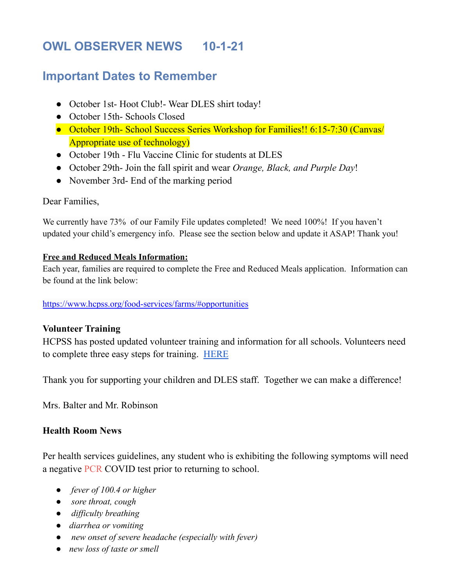# **OWL OBSERVER NEWS 10-1-21**

# **Important Dates to Remember**

- October 1st- Hoot Club!- Wear DLES shirt today!
- October 15th- Schools Closed
- October 19th- School Success Series Workshop for Families!! 6:15-7:30 (Canvas/ Appropriate use of technology)
- October 19th Flu Vaccine Clinic for students at DLES
- October 29th- Join the fall spirit and wear *Orange, Black, and Purple Day*!
- November 3rd- End of the marking period

#### Dear Families,

We currently have 73% of our Family File updates completed! We need 100%! If you haven't updated your child's emergency info. Please see the section below and update it ASAP! Thank you!

#### **Free and Reduced Meals Information:**

Each year, families are required to complete the Free and Reduced Meals application. Information can be found at the link below:

<https://www.hcpss.org/food-services/farms/#opportunities>

## **Volunteer Training**

HCPSS has posted updated volunteer training and information for all schools. Volunteers need to complete three easy steps for training. [HERE](https://www.hcpss.org/parents/volunteer-information/)

Thank you for supporting your children and DLES staff. Together we can make a difference!

Mrs. Balter and Mr. Robinson

#### **Health Room News**

Per health services guidelines, any student who is exhibiting the following symptoms will need a negative PCR COVID test prior to returning to school.

- *fever of 100.4 or higher*
- *sore throat, cough*
- *difficulty breathing*
- *diarrhea or vomiting*
- *new onset of severe headache (especially with fever)*
- *new loss of taste or smell*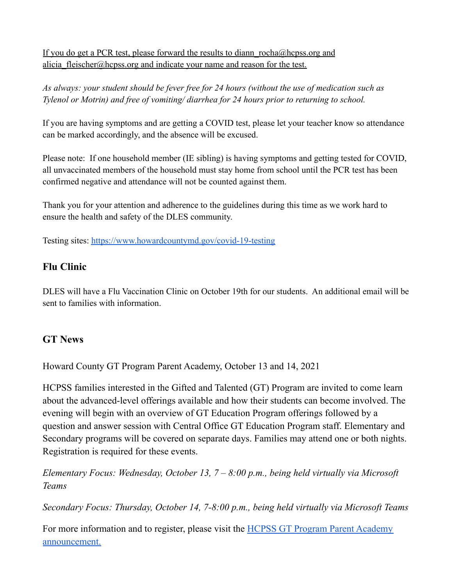If you do get a PCR test, please forward the results to diann  $rocha@hepss.org$  and alicia fleischer@hcpss.org and indicate your name and reason for the test.

*As always: your student should be fever free for 24 hours (without the use of medication such as Tylenol or Motrin) and free of vomiting/ diarrhea for 24 hours prior to returning to school.*

If you are having symptoms and are getting a COVID test, please let your teacher know so attendance can be marked accordingly, and the absence will be excused.

Please note: If one household member (IE sibling) is having symptoms and getting tested for COVID, all unvaccinated members of the household must stay home from school until the PCR test has been confirmed negative and attendance will not be counted against them.

Thank you for your attention and adherence to the guidelines during this time as we work hard to ensure the health and safety of the DLES community.

Testing sites: [https://www.howardcountymd.gov/covid-19-testing](https://nam10.safelinks.protection.outlook.com/?url=https%3A%2F%2Fwww.howardcountymd.gov%2Fcovid-19-testing&data=04%7C01%7CJulie_Forman%40hcpss.org%7Ccd85762728e24066045608d98295513f%7C96a9ac4c477e4dada2b28ad3fc46790b%7C1%7C0%7C637684400096259433%7CUnknown%7CTWFpbGZsb3d8eyJWIjoiMC4wLjAwMDAiLCJQIjoiV2luMzIiLCJBTiI6Ik1haWwiLCJXVCI6Mn0%3D%7C1000&sdata=IPg3kjHVEqMm7d9IWKiXydaUsEJbdL0gFiAQQR3lXO0%3D&reserved=0)

## **Flu Clinic**

DLES will have a Flu Vaccination Clinic on October 19th for our students. An additional email will be sent to families with information.

# **GT News**

Howard County GT Program Parent Academy, October 13 and 14, 2021

HCPSS families interested in the Gifted and Talented (GT) Program are invited to come learn about the advanced-level offerings available and how their students can become involved. The evening will begin with an overview of GT Education Program offerings followed by a question and answer session with Central Office GT Education Program staff. Elementary and Secondary programs will be covered on separate days. Families may attend one or both nights. Registration is required for these events.

*Elementary Focus: Wednesday, October 13, 7 – 8:00 p.m., being held virtually via Microsoft Teams*

*Secondary Focus: Thursday, October 14, 7-8:00 p.m., being held virtually via Microsoft Teams*

For more information and to register, please visit the HCPSS GT Program Parent [Academy](https://news.hcpss.org/news-posts/2021/09/howard-county-g-t-program-parent-academy-octobter-13-and-14/) [announcement.](https://news.hcpss.org/news-posts/2021/09/howard-county-g-t-program-parent-academy-octobter-13-and-14/)